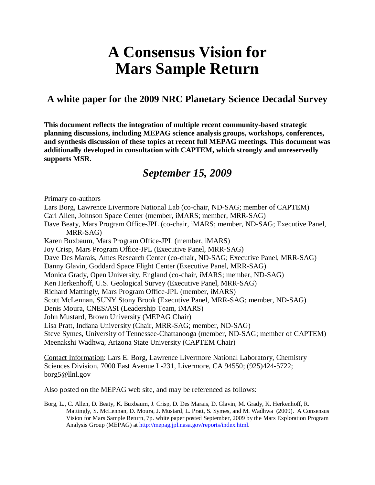# **A Consensus Vision for Mars Sample Return**

### **A white paper for the 2009 NRC Planetary Science Decadal Survey**

**This document reflects the integration of multiple recent community-based strategic planning discussions, including MEPAG science analysis groups, workshops, conferences, and synthesis discussion of these topics at recent full MEPAG meetings. This document was additionally developed in consultation with CAPTEM, which strongly and unreservedly supports MSR.**

## *September 15, 2009*

Primary co-authors

Lars Borg, Lawrence Livermore National Lab (co-chair, ND-SAG; member of CAPTEM)

Carl Allen, Johnson Space Center (member, iMARS; member, MRR-SAG)

Dave Beaty, Mars Program Office-JPL (co-chair, iMARS; member, ND-SAG; Executive Panel, MRR-SAG)

Karen Buxbaum, Mars Program Office-JPL (member, iMARS)

Joy Crisp, Mars Program Office-JPL (Executive Panel, MRR-SAG)

Dave Des Marais, Ames Research Center (co-chair, ND-SAG; Executive Panel, MRR-SAG)

Danny Glavin, Goddard Space Flight Center (Executive Panel, MRR-SAG)

Monica Grady, Open University, England (co-chair, iMARS; member, ND-SAG)

Ken Herkenhoff, U.S. Geological Survey (Executive Panel, MRR-SAG)

Richard Mattingly, Mars Program Office-JPL (member, iMARS)

Scott McLennan, SUNY Stony Brook (Executive Panel, MRR-SAG; member, ND-SAG)

Denis Moura, CNES/ASI (Leadership Team, iMARS)

John Mustard, Brown University (MEPAG Chair)

Lisa Pratt, Indiana University (Chair, MRR-SAG; member, ND-SAG)

Steve Symes, University of Tennessee-Chattanooga (member, ND-SAG; member of CAPTEM) Meenakshi Wadhwa, Arizona State University (CAPTEM Chair)

Contact Information: Lars E. Borg, Lawrence Livermore National Laboratory, Chemistry Sciences Division, 7000 East Avenue L-231, Livermore, CA 94550; (925)424-5722; borg5@llnl.gov

Also posted on the MEPAG web site, and may be referenced as follows:

Borg, L., C. Allen, D. Beaty, K. Buxbaum, J. Crisp, D. Des Marais, D. Glavin, M. Grady, K. Herkenhoff, R. Mattingly, S. McLennan, D. Moura, J. Mustard, L. Pratt, S. Symes, and M. Wadhwa (2009). A Consensus Vision for Mars Sample Return, 7p. white paper posted September, 2009 by the Mars Exploration Program Analysis Group (MEPAG) at http://mepag.jpl.nasa.gov/reports/index.html.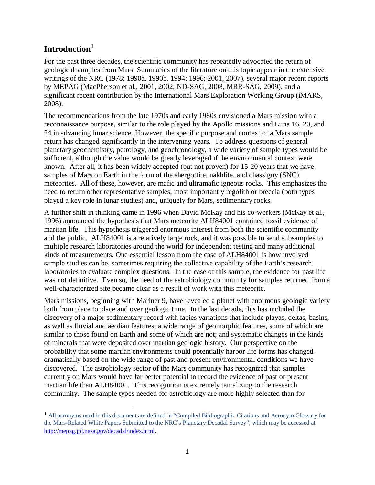#### **Introduction<sup>1</sup>**

 $\overline{a}$ 

For the past three decades, the scientific community has repeatedly advocated the return of geological samples from Mars. Summaries of the literature on this topic appear in the extensive writings of the NRC (1978; 1990a, 1990b, 1994; 1996; 2001, 2007), several major recent reports by MEPAG (MacPherson et al., 2001, 2002; ND-SAG, 2008, MRR-SAG, 2009), and a significant recent contribution by the International Mars Exploration Working Group (iMARS, 2008).

The recommendations from the late 1970s and early 1980s envisioned a Mars mission with a reconnaissance purpose, similar to the role played by the Apollo missions and Luna 16, 20, and 24 in advancing lunar science. However, the specific purpose and context of a Mars sample return has changed significantly in the intervening years. To address questions of general planetary geochemistry, petrology, and geochronology, a wide variety of sample types would be sufficient, although the value would be greatly leveraged if the environmental context were known. After all, it has been widely accepted (but not proven) for 15-20 years that we have samples of Mars on Earth in the form of the shergottite, nakhlite, and chassigny (SNC) meteorites. All of these, however, are mafic and ultramafic igneous rocks. This emphasizes the need to return other representative samples, most importantly regolith or breccia (both types played a key role in lunar studies) and, uniquely for Mars, sedimentary rocks.

A further shift in thinking came in 1996 when David McKay and his co-workers (McKay et al., 1996) announced the hypothesis that Mars meteorite ALH84001 contained fossil evidence of martian life. This hypothesis triggered enormous interest from both the scientific community and the public. ALH84001 is a relatively large rock, and it was possible to send subsamples to multiple research laboratories around the world for independent testing and many additional kinds of measurements. One essential lesson from the case of ALH84001 is how involved sample studies can be, sometimes requiring the collective capability of the Earth's research laboratories to evaluate complex questions. In the case of this sample, the evidence for past life was not definitive. Even so, the need of the astrobiology community for samples returned from a well-characterized site became clear as a result of work with this meteorite.

Mars missions, beginning with Mariner 9, have revealed a planet with enormous geologic variety both from place to place and over geologic time. In the last decade, this has included the discovery of a major sedimentary record with facies variations that include playas, deltas, basins, as well as fluvial and aeolian features; a wide range of geomorphic features, some of which are similar to those found on Earth and some of which are not; and systematic changes in the kinds of minerals that were deposited over martian geologic history. Our perspective on the probability that some martian environments could potentially harbor life forms has changed dramatically based on the wide range of past and present environmental conditions we have discovered. The astrobiology sector of the Mars community has recognized that samples currently on Mars would have far better potential to record the evidence of past or present martian life than ALH84001. This recognition is extremely tantalizing to the research community. The sample types needed for astrobiology are more highly selected than for

<sup>1</sup> All acronyms used in this document are defined in "Compiled Bibliographic Citations and Acronym Glossary for the Mars-Related White Papers Submitted to the NRC's Planetary Decadal Survey", which may be accessed at http://mepag.jpl.nasa.gov/decadal/index.html.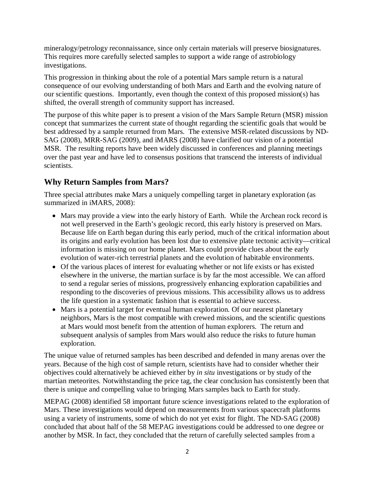mineralogy/petrology reconnaissance, since only certain materials will preserve biosignatures. This requires more carefully selected samples to support a wide range of astrobiology investigations.

This progression in thinking about the role of a potential Mars sample return is a natural consequence of our evolving understanding of both Mars and Earth and the evolving nature of our scientific questions. Importantly, even though the context of this proposed mission(s) has shifted, the overall strength of community support has increased.

The purpose of this white paper is to present a vision of the Mars Sample Return (MSR) mission concept that summarizes the current state of thought regarding the scientific goals that would be best addressed by a sample returned from Mars. The extensive MSR-related discussions by ND-SAG (2008), MRR-SAG (2009), and iMARS (2008) have clarified our vision of a potential MSR. The resulting reports have been widely discussed in conferences and planning meetings over the past year and have led to consensus positions that transcend the interests of individual scientists.

#### **Why Return Samples from Mars?**

Three special attributes make Mars a uniquely compelling target in planetary exploration (as summarized in iMARS, 2008):

- Mars may provide a view into the early history of Earth. While the Archean rock record is not well preserved in the Earth's geologic record, this early history is preserved on Mars. Because life on Earth began during this early period, much of the critical information about its origins and early evolution has been lost due to extensive plate tectonic activity—critical information is missing on our home planet. Mars could provide clues about the early evolution of water-rich terrestrial planets and the evolution of habitable environments.
- Of the various places of interest for evaluating whether or not life exists or has existed elsewhere in the universe, the martian surface is by far the most accessible. We can afford to send a regular series of missions, progressively enhancing exploration capabilities and responding to the discoveries of previous missions. This accessibility allows us to address the life question in a systematic fashion that is essential to achieve success.
- Mars is a potential target for eventual human exploration. Of our nearest planetary neighbors, Mars is the most compatible with crewed missions, and the scientific questions at Mars would most benefit from the attention of human explorers. The return and subsequent analysis of samples from Mars would also reduce the risks to future human exploration.

The unique value of returned samples has been described and defended in many arenas over the years. Because of the high cost of sample return, scientists have had to consider whether their objectives could alternatively be achieved either by *in situ* investigations or by study of the martian meteorites. Notwithstanding the price tag, the clear conclusion has consistently been that there is unique and compelling value to bringing Mars samples back to Earth for study.

MEPAG (2008) identified 58 important future science investigations related to the exploration of Mars. These investigations would depend on measurements from various spacecraft platforms using a variety of instruments, some of which do not yet exist for flight. The ND-SAG (2008) concluded that about half of the 58 MEPAG investigations could be addressed to one degree or another by MSR. In fact, they concluded that the return of carefully selected samples from a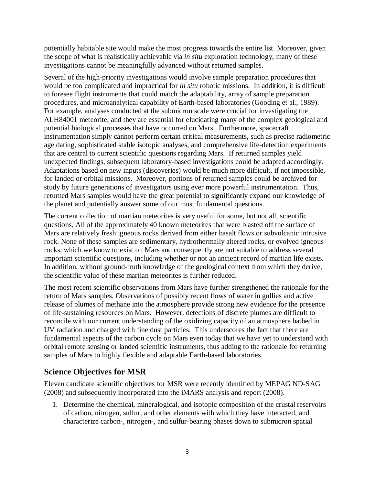potentially habitable site would make the most progress towards the entire list. Moreover, given the scope of what is realistically achievable via *in situ* exploration technology, many of these investigations cannot be meaningfully advanced without returned samples.

Several of the high-priority investigations would involve sample preparation procedures that would be too complicated and impractical for *in situ* robotic missions. In addition, it is difficult to foresee flight instruments that could match the adaptability, array of sample preparation procedures, and microanalytical capability of Earth-based laboratories (Gooding et al., 1989). For example, analyses conducted at the submicron scale were crucial for investigating the ALH84001 meteorite, and they are essential for elucidating many of the complex geological and potential biological processes that have occurred on Mars. Furthermore, spacecraft instrumentation simply cannot perform certain critical measurements, such as precise radiometric age dating, sophisticated stable isotopic analyses, and comprehensive life-detection experiments that are central to current scientific questions regarding Mars. If returned samples yield unexpected findings, subsequent laboratory-based investigations could be adapted accordingly. Adaptations based on new inputs (discoveries) would be much more difficult, if not impossible, for landed or orbital missions. Moreover, portions of returned samples could be archived for study by future generations of investigators using ever more powerful instrumentation. Thus, returned Mars samples would have the great potential to significantly expand our knowledge of the planet and potentially answer some of our most fundamental questions.

The current collection of martian meteorites is very useful for some, but not all, scientific questions. All of the approximately 40 known meteorites that were blasted off the surface of Mars are relatively fresh igneous rocks derived from either basalt flows or subvolcanic intrusive rock. None of these samples are sedimentary, hydrothermally altered rocks, or evolved igneous rocks, which we know to exist on Mars and consequently are not suitable to address several important scientific questions, including whether or not an ancient record of martian life exists. In addition, without ground-truth knowledge of the geological context from which they derive, the scientific value of these martian meteorites is further reduced.

The most recent scientific observations from Mars have further strengthened the rationale for the return of Mars samples. Observations of possibly recent flows of water in gullies and active release of plumes of methane into the atmosphere provide strong new evidence for the presence of life-sustaining resources on Mars. However, detections of discrete plumes are difficult to reconcile with our current understanding of the oxidizing capacity of an atmosphere bathed in UV radiation and charged with fine dust particles. This underscores the fact that there are fundamental aspects of the carbon cycle on Mars even today that we have yet to understand with orbital remote sensing or landed scientific instruments, thus adding to the rationale for returning samples of Mars to highly flexible and adaptable Earth-based laboratories.

#### **Science Objectives for MSR**

Eleven candidate scientific objectives for MSR were recently identified by MEPAG ND-SAG (2008) and subsequently incorporated into the iMARS analysis and report (2008).

1. Determine the chemical, mineralogical, and isotopic composition of the crustal reservoirs of carbon, nitrogen, sulfur, and other elements with which they have interacted, and characterize carbon-, nitrogen-, and sulfur-bearing phases down to submicron spatial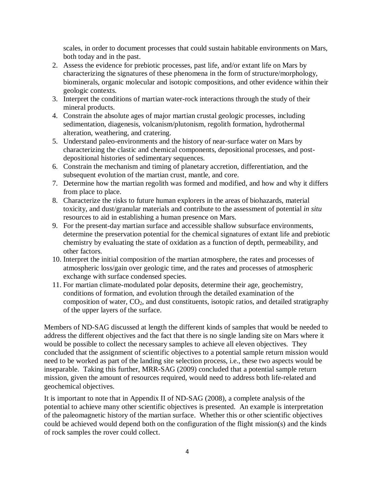scales, in order to document processes that could sustain habitable environments on Mars, both today and in the past.

- 2. Assess the evidence for prebiotic processes, past life, and/or extant life on Mars by characterizing the signatures of these phenomena in the form of structure/morphology, biominerals, organic molecular and isotopic compositions, and other evidence within their geologic contexts.
- 3. Interpret the conditions of martian water-rock interactions through the study of their mineral products.
- 4. Constrain the absolute ages of major martian crustal geologic processes, including sedimentation, diagenesis, volcanism/plutonism, regolith formation, hydrothermal alteration, weathering, and cratering.
- 5. Understand paleo-environments and the history of near-surface water on Mars by characterizing the clastic and chemical components, depositional processes, and postdepositional histories of sedimentary sequences.
- 6. Constrain the mechanism and timing of planetary accretion, differentiation, and the subsequent evolution of the martian crust, mantle, and core.
- 7. Determine how the martian regolith was formed and modified, and how and why it differs from place to place.
- 8. Characterize the risks to future human explorers in the areas of biohazards, material toxicity, and dust/granular materials and contribute to the assessment of potential *in situ*  resources to aid in establishing a human presence on Mars.
- 9. For the present-day martian surface and accessible shallow subsurface environments, determine the preservation potential for the chemical signatures of extant life and prebiotic chemistry by evaluating the state of oxidation as a function of depth, permeability, and other factors.
- 10. Interpret the initial composition of the martian atmosphere, the rates and processes of atmospheric loss/gain over geologic time, and the rates and processes of atmospheric exchange with surface condensed species.
- 11. For martian climate-modulated polar deposits, determine their age, geochemistry, conditions of formation, and evolution through the detailed examination of the composition of water,  $CO<sub>2</sub>$ , and dust constituents, isotopic ratios, and detailed stratigraphy of the upper layers of the surface.

Members of ND-SAG discussed at length the different kinds of samples that would be needed to address the different objectives and the fact that there is no single landing site on Mars where it would be possible to collect the necessary samples to achieve all eleven objectives. They concluded that the assignment of scientific objectives to a potential sample return mission would need to be worked as part of the landing site selection process, i.e., these two aspects would be inseparable. Taking this further, MRR-SAG (2009) concluded that a potential sample return mission, given the amount of resources required, would need to address both life-related and geochemical objectives.

It is important to note that in Appendix II of ND-SAG (2008), a complete analysis of the potential to achieve many other scientific objectives is presented. An example is interpretation of the paleomagnetic history of the martian surface. Whether this or other scientific objectives could be achieved would depend both on the configuration of the flight mission(s) and the kinds of rock samples the rover could collect.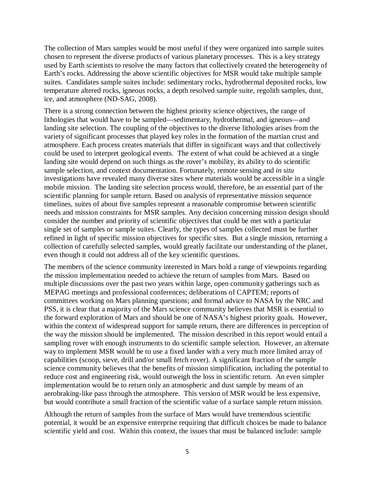The collection of Mars samples would be most useful if they were organized into sample suites chosen to represent the diverse products of various planetary processes. This is a key strategy used by Earth scientists to resolve the many factors that collectively created the heterogeneity of Earth's rocks. Addressing the above scientific objectives for MSR would take multiple sample suites. Candidates sample suites include: sedimentary rocks, hydrothermal deposited rocks, low temperature altered rocks, igneous rocks, a depth resolved sample suite, regolith samples, dust, ice, and atmosphere (ND-SAG, 2008).

There is a strong connection between the highest priority science objectives, the range of lithologies that would have to be sampled—sedimentary, hydrothermal, and igneous—and landing site selection. The coupling of the objectives to the diverse lithologies arises from the variety of significant processes that played key roles in the formation of the martian crust and atmosphere. Each process creates materials that differ in significant ways and that collectively could be used to interpret geological events. The extent of what could be achieved at a single landing site would depend on such things as the rover's mobility, its ability to do scientific sample selection, and context documentation. Fortunately, remote sensing and *in situ* investigations have revealed many diverse sites where materials would be accessible in a single mobile mission. The landing site selection process would, therefore, be an essential part of the scientific planning for sample return. Based on analysis of representative mission sequence timelines, suites of about five samples represent a reasonable compromise between scientific needs and mission constraints for MSR samples. Any decision concerning mission design should consider the number and priority of scientific objectives that could be met with a particular single set of samples or sample suites. Clearly, the types of samples collected must be further refined in light of specific mission objectives for specific sites. But a single mission, returning a collection of carefully selected samples, would greatly facilitate our understanding of the planet, even though it could not address all of the key scientific questions.

The members of the science community interested in Mars hold a range of viewpoints regarding the mission implementation needed to achieve the return of samples from Mars. Based on multiple discussions over the past two years within large, open community gatherings such as MEPAG meetings and professional conferences; deliberations of CAPTEM; reports of committees working on Mars planning questions; and formal advice to NASA by the NRC and PSS, it is clear that a majority of the Mars science community believes that MSR is essential to the forward exploration of Mars and should be one of NASA's highest priority goals. However, within the context of widespread support for sample return, there are differences in perception of the way the mission should be implemented. The mission described in this report would entail a sampling rover with enough instruments to do scientific sample selection. However, an alternate way to implement MSR would be to use a fixed lander with a very much more limited array of capabilities (scoop, sieve, drill and/or small fetch rover). A significant fraction of the sample science community believes that the benefits of mission simplification, including the potential to reduce cost and engineering risk, would outweigh the loss in scientific return. An even simpler implementation would be to return only an atmospheric and dust sample by means of an aerobraking-like pass through the atmosphere. This version of MSR would be less expensive, but would contribute a small fraction of the scientific value of a surface sample return mission.

Although the return of samples from the surface of Mars would have tremendous scientific potential, it would be an expensive enterprise requiring that difficult choices be made to balance scientific yield and cost. Within this context, the issues that must be balanced include: sample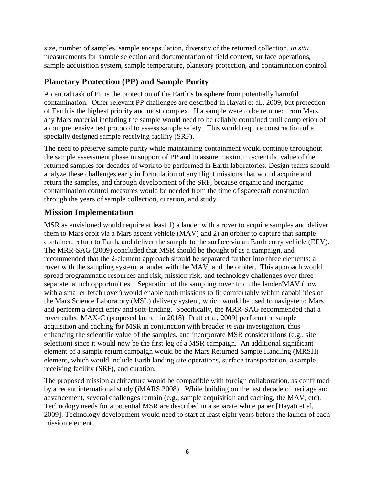size, number of samples, sample encapsulation, diversity of the returned collection, *in situ* measurements for sample selection and documentation of field context, surface operations, sample acquisition system, sample temperature, planetary protection, and contamination control.

#### **Planetary Protection (PP) and Sample Purity**

A central task of PP is the protection of the Earth's biosphere from potentially harmful contamination. Other relevant PP challenges are described in Hayati et al., 2009, but protection of Earth is the highest priority and most complex. If a sample were to be returned from Mars, any Mars material including the sample would need to be reliably contained until completion of a comprehensive test protocol to assess sample safety. This would require construction of a specially designed sample receiving facility (SRF).

The need to preserve sample purity while maintaining containment would continue throughout the sample assessment phase in support of PP and to assure maximum scientific value of the returned samples for decades of work to be performed in Earth laboratories. Design teams should analyze these challenges early in formulation of any flight missions that would acquire and return the samples, and through development of the SRF, because organic and inorganic contamination control measures would be needed from the time of spacecraft construction through the years of sample collection, curation, and study.

#### **Mission Implementation**

MSR as envisioned would require at least 1) a lander with a rover to acquire samples and deliver them to Mars orbit via a Mars ascent vehicle (MAV) and 2) an orbiter to capture that sample container, return to Earth, and deliver the sample to the surface via an Earth entry vehicle (EEV). The MRR-SAG (2009) concluded that MSR should be thought of as a campaign, and recommended that the 2-element approach should be separated further into three elements: a rover with the sampling system, a lander with the MAV, and the orbiter. This approach would spread programmatic resources and risk, mission risk, and technology challenges over three separate launch opportunities. Separation of the sampling rover from the lander/MAV (now with a smaller fetch rover) would enable both missions to fit comfortably within capabilities of the Mars Science Laboratory (MSL) delivery system, which would be used to navigate to Mars and perform a direct entry and soft-landing. Specifically, the MRR-SAG recommended that a rover called MAX-C (proposed launch in 2018) [Pratt et al, 2009] perform the sample acquisition and caching for MSR in conjunction with broader *in situ* investigation, thus enhancing the scientific value of the samples, and incorporate MSR considerations (e.g., site selection) since it would now be the first leg of a MSR campaign. An additional significant element of a sample return campaign would be the Mars Returned Sample Handling (MRSH) element, which would include Earth landing site operations, surface transportation, a sample receiving facility (SRF), and curation.

The proposed mission architecture would be compatible with foreign collaboration, as confirmed by a recent international study (iMARS 2008). While building on the last decade of heritage and advancement, several challenges remain (e.g., sample acquisition and caching, the MAV, etc). Technology needs for a potential MSR are described in a separate white paper [Hayati et al, 2009]. Technology development would need to start at least eight years before the launch of each mission element.